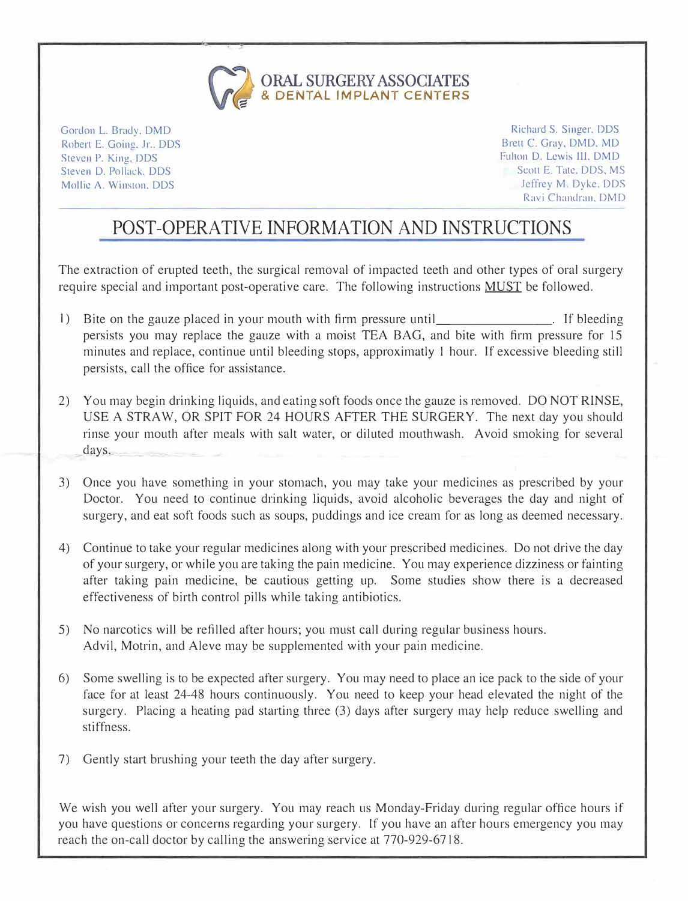

Gordon L. Brady. DMD Robert E. Going, Jr., DDS Steven P. King. DDS Steven D. Pollack. DDS Mollie A. Winston. DDS

Richard S. Singer. DDS Brett C. Gray. DMD. MD Fulton D. Lewis Ill, DMD Scott E. Tate, DDS, MS Jeffrey M. Dyke, DDS Ravi Chandran, DMD

## **POST-OPERATIVE INFORMATION AND INSTRUCTIONS**

The extraction of erupted teeth, the surgical removal of impacted teeth and other types of oral surgery require special and important post-operative care. The following instructions MUST be followed.

- I) Bite on the gauze placed in your mouth with firm pressure until The election is not if bleeding persists you may replace the gauze with a moist TEA BAG, and bite with firm pressure for 15 minutes and replace, continue until bleeding stops, approximatly I hour. If excessive bleeding still persists, call the office for assistance.
- 2) You may begin drinking liquids, and eating soft foods once the gauze is removed. DO NOT RINSE, USE A STRAW, OR SPIT FOR 24 HOURS AFTER THE SURGERY. The next day you should rinse your mouth after meals with salt water, or diluted mouthwash. Avoid smoking for several days.
- 3) Once you have something in your stomach, you may take your medicines as prescribed by your Doctor. You need to continue drinking liquids, avoid alcoholic beverages the day and night of surgery, and eat soft foods such as soups, puddings and ice cream for as long as deemed necessary.
- 4) Continue to take your regular medicines along with your prescribed medicines. Do not drive the day of your surgery, or whjle you are taking the pain medicine. You may experience dizziness or fainting after taking pain medicine, be cautious getting up. Some studies show there is a decreased effectiveness of birth control pills while taking antibiotics.
- 5) No narcotics will be refilled after hours; you must call during regular business hours. Advil, Motrin, and Aleve may be supplemented with your pain medicine.
- 6) Some swelling is to be expected after surgery. You may need to place an ice pack to the side of your face for at least 24-48 hours continuously. You need to keep your head elevated the night of the surgery. Placing a heating pad starting three (3) days after surgery may help reduce swelling and stiffness.
- 7) Gently start brushing your teeth the day after surgery.

We wish you well after your surgery. You may reach us Monday-Friday during regular office hours if you have questions or concerns regarding your surgery. lf you have an after hours emergency you may reach the on-call doctor by calling the answering service at 770-929-6718.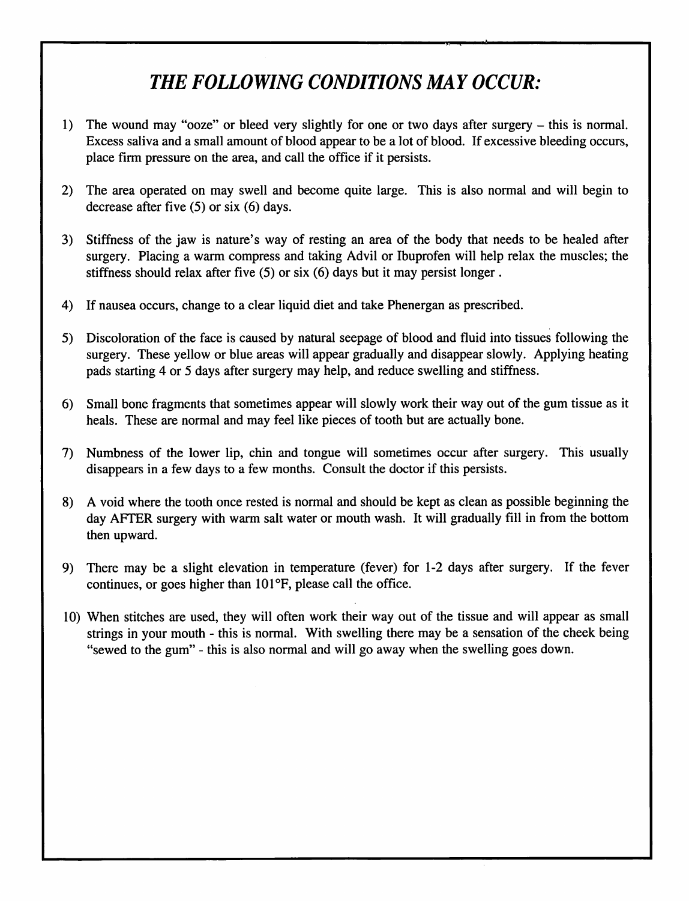## THE FOLLOWING CONDITIONS MAY OCCUR:

- 1) The wound may "ooze" or bleed very slightly for one or two days after surgery this is normal. Excess saliva and a small amount of blood appear to be a lot of blood. If excessive bleeding occurs, place firm pressure on the area, and call the office if it persists.
- The area operated on may swell and become quite large. This is also normal and will begin to  $2)$ decrease after five  $(5)$  or six  $(6)$  days.
- 3) Stiffness of the jaw is nature's way of resting an area of the body that needs to be healed after surgery. Placing a warm compress and taking Advil or Ibuprofen will help relax the muscles; the stiffness should relax after five (5) or six (6) days but it may persist longer.
- If nausea occurs, change to a clear liquid diet and take Phenergan as prescribed.  $4)$
- 5) Discoloration of the face is caused by natural seepage of blood and fluid into tissues following the surgery. These yellow or blue areas will appear gradually and disappear slowly. Applying heating pads starting 4 or 5 days after surgery may help, and reduce swelling and stiffness.
- $6)$ Small bone fragments that sometimes appear will slowly work their way out of the gum tissue as it heals. These are normal and may feel like pieces of tooth but are actually bone.
- 7) Numbness of the lower lip, chin and tongue will sometimes occur after surgery. This usually disappears in a few days to a few months. Consult the doctor if this persists.
- A void where the tooth once rested is normal and should be kept as clean as possible beginning the 8) day AFTER surgery with warm salt water or mouth wash. It will gradually fill in from the bottom then upward.
- There may be a slight elevation in temperature (fever) for 1-2 days after surgery. If the fever  $9)$ continues, or goes higher than 101°F, please call the office.
- 10) When stitches are used, they will often work their way out of the tissue and will appear as small strings in your mouth - this is normal. With swelling there may be a sensation of the cheek being "sewed to the gum" - this is also normal and will go away when the swelling goes down.